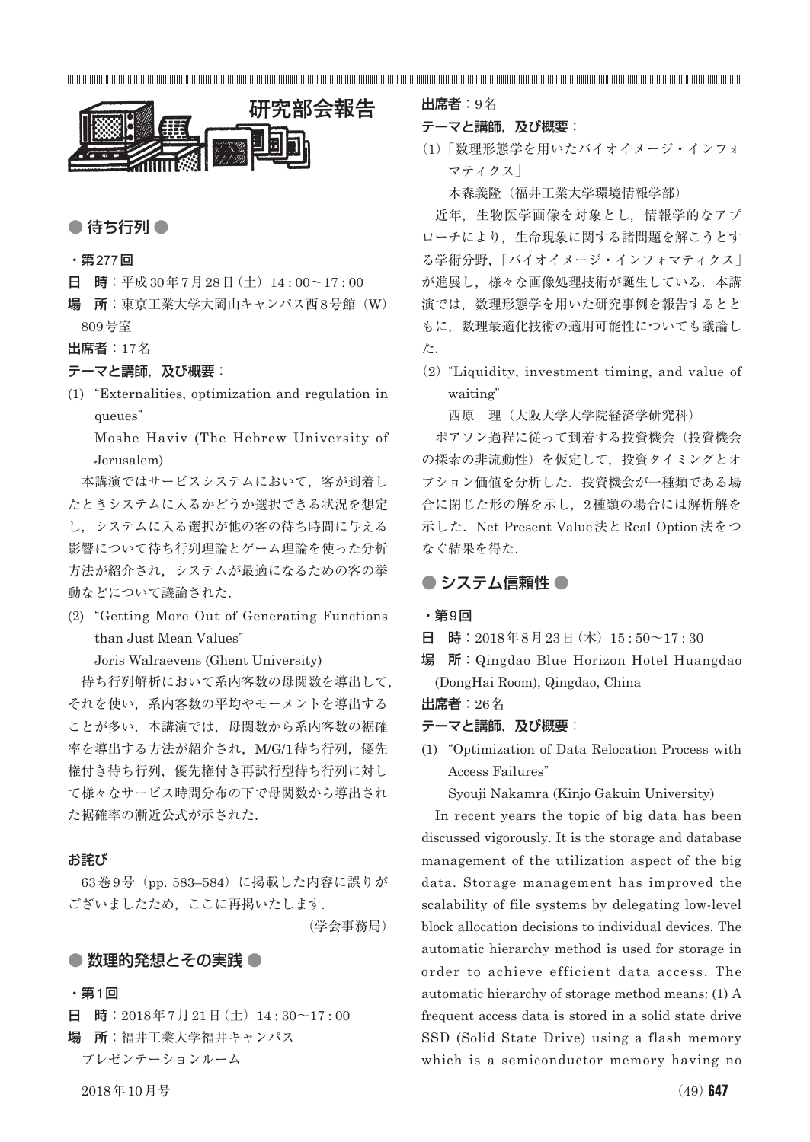

# ● 待ち行列 ●

#### ・第277回

- 日 時:平成30年7月28日(土) 14:00~17:00
- 場 所:東京工業大学大岡山キャンパス西8号館(W) 809号室
- 出席者:17名

### テーマと講師, 及び概要:

(1) "Externalities, optimization and regulation in queues"

Moshe Haviv (The Hebrew University of Jerusalem)

本講演ではサービスシステムにおいて,客が到着し たときシステムに入るかどうか選択できる状況を想定 し,システムに入る選択が他の客の待ち時間に与える 影響について待ち行列理論とゲーム理論を使った分析 方法が紹介され,システムが最適になるための客の挙 動などについて議論された.

(2) "Getting More Out of Generating Functions than Just Mean Values"

Joris Walraevens (Ghent University)

待ち行列解析において系内客数の母関数を導出して, それを使い,系内客数の平均やモーメントを導出する ことが多い.本講演では、母関数から系内客数の裾確 率を導出する方法が紹介され, M/G/1待ち行列, 優先 権付き待ち行列,優先権付き再試行型待ち行列に対し て様々なサービス時間分布の下で母関数から導出され た裾確率の漸近公式が示された.

### お詫び

63巻9号(pp. 583–584)に掲載した内容に誤りが ございましたため,ここに再掲いたします.

(学会事務局)

### ● 数理的発想とその実践 ●

## ・第1回

日 時: 2018年7月21日(土) 14:30~17:00 場 所:福井工業大学福井キャンパス

プレゼンテーションルーム

出席者:9名

### テーマと講師, 及び概要:

(1)「数理形態学を用いたバイオイメージ・インフォ マティクス」

木森義隆(福井工業大学環境情報学部)

近年,生物医学画像を対象とし,情報学的なアプ ローチにより,生命現象に関する諸問題を解こうとす る学術分野,「バイオイメージ・インフォマティクス」 が進展し,様々な画像処理技術が誕生している.本講 演では,数理形態学を用いた研究事例を報告するとと もに,数理最適化技術の適用可能性についても議論し た.

(2)"Liquidity, investment timing, and value of waiting"

西原 理(大阪大学大学院経済学研究科)

ポアソン過程に従って到着する投資機会(投資機会 の探索の非流動性)を仮定して,投資タイミングとオ プション価値を分析した.投資機会が一種類である場 合に閉じた形の解を示し,2種類の場合には解析解を 示した. Net Present Value法とReal Option法をつ なぐ結果を得た.

# ● システム信頼性 ●

### ・第9回

日 時: 2018年8月23日(木) 15:50~17:30

場 所:Qingdao Blue Horizon Hotel Huangdao (DongHai Room), Qingdao, China

出席者:26名

### テーマと講師, 及び概要:

(1) "Optimization of Data Relocation Process with Access Failures"

Syouji Nakamra (Kinjo Gakuin University)

In recent years the topic of big data has been discussed vigorously. It is the storage and database management of the utilization aspect of the big data. Storage management has improved the scalability of file systems by delegating low-level block allocation decisions to individual devices. The automatic hierarchy method is used for storage in order to achieve efficient data access. The automatic hierarchy of storage method means: (1) A frequent access data is stored in a solid state drive SSD (Solid State Drive) using a flash memory which is a semiconductor memory having no

 $2018$ 年10月号 (49) 647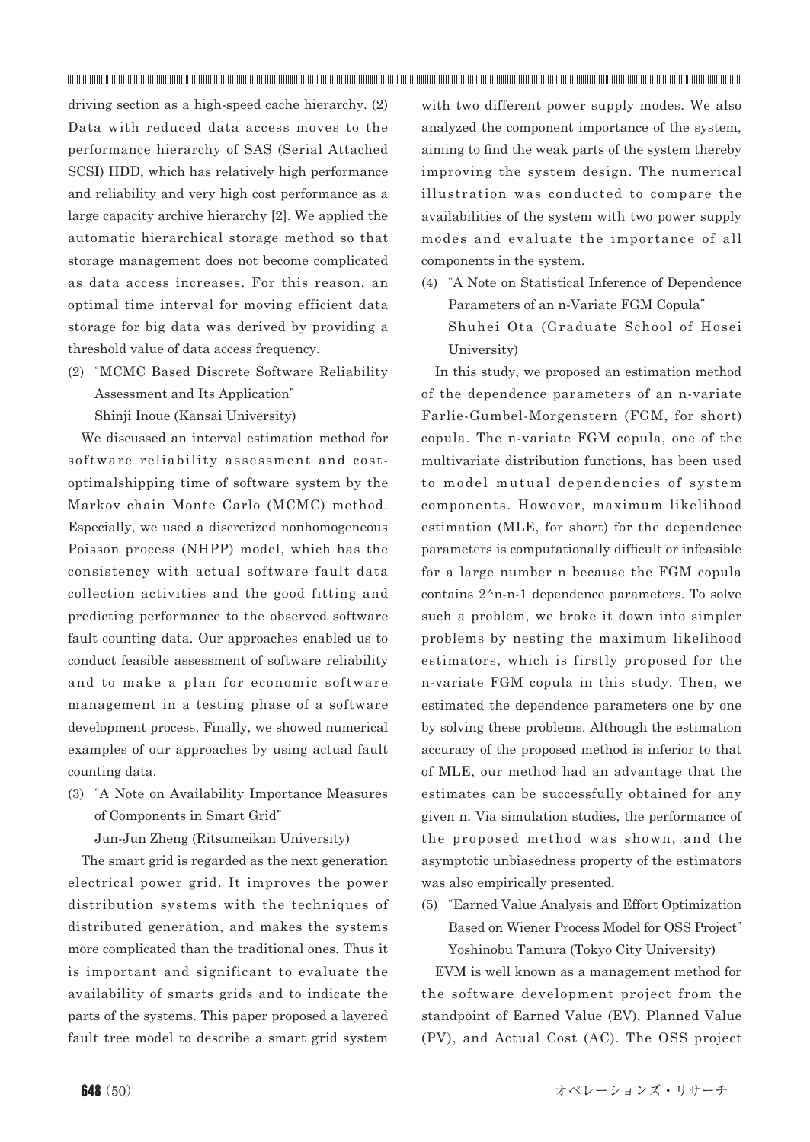driving section as a high-speed cache hierarchy. (2) Data with reduced data access moves to the performance hierarchy of SAS (Serial Attached SCSI) HDD, which has relatively high performance and reliability and very high cost performance as a large capacity archive hierarchy [2]. We applied the automatic hierarchical storage method so that storage management does not become complicated as data access increases. For this reason, an optimal time interval for moving efficient data storage for big data was derived by providing a threshold value of data access frequency.

(2) "MCMC Based Discrete Software Reliability Assessment and Its Application"

Shinji Inoue (Kansai University)

We discussed an interval estimation method for software reliability assessment and costoptimalshipping time of software system by the Markov chain Monte Carlo (MCMC) method. Especially, we used a discretized nonhomogeneous Poisson process (NHPP) model, which has the consistency with actual software fault data collection activities and the good fitting and predicting performance to the observed software fault counting data. Our approaches enabled us to conduct feasible assessment of software reliability and to make a plan for economic software management in a testing phase of a software development process. Finally, we showed numerical examples of our approaches by using actual fault counting data.

(3) "A Note on Availability Importance Measures of Components in Smart Grid"

Jun-Jun Zheng (Ritsumeikan University)

The smart grid is regarded as the next generation electrical power grid. It improves the power distribution systems with the techniques of distributed generation, and makes the systems more complicated than the traditional ones. Thus it is important and significant to evaluate the availability of smarts grids and to indicate the parts of the systems. This paper proposed a layered fault tree model to describe a smart grid system

with two different power supply modes. We also analyzed the component importance of the system, aiming to find the weak parts of the system thereby improving the system design. The numerical illustration was conducted to compare the availabilities of the system with two power supply modes and evaluate the importance of all components in the system.

(4) "A Note on Statistical Inference of Dependence Parameters of an n-Variate FGM Copula" Shuhei Ota (Graduate School of Hosei University)

In this study, we proposed an estimation method of the dependence parameters of an n-variate Farlie-Gumbel-Morgenstern (FGM, for short) copula. The n-variate FGM copula, one of the multivariate distribution functions, has been used to model mutual dependencies of system components. However, maximum likelihood estimation (MLE, for short) for the dependence parameters is computationally difficult or infeasible for a large number n because the FGM copula contains 2^n-n-1 dependence parameters. To solve such a problem, we broke it down into simpler problems by nesting the maximum likelihood estimators, which is firstly proposed for the n-variate FGM copula in this study. Then, we estimated the dependence parameters one by one by solving these problems. Although the estimation accuracy of the proposed method is inferior to that of MLE, our method had an advantage that the estimates can be successfully obtained for any given n. Via simulation studies, the performance of the proposed method was shown, and the asymptotic unbiasedness property of the estimators was also empirically presented.

(5) "Earned Value Analysis and Effort Optimization Based on Wiener Process Model for OSS Project" Yoshinobu Tamura (Tokyo City University)

EVM is well known as a management method for the software development project from the standpoint of Earned Value (EV), Planned Value (PV), and Actual Cost (AC). The OSS project